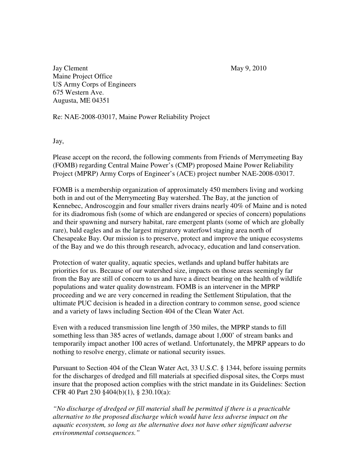Jay Clement May 9, 2010 Maine Project Office US Army Corps of Engineers 675 Western Ave. Augusta, ME 04351

Re: NAE-2008-03017, Maine Power Reliability Project

Jay,

Please accept on the record, the following comments from Friends of Merrymeeting Bay (FOMB) regarding Central Maine Power's (CMP) proposed Maine Power Reliability Project (MPRP) Army Corps of Engineer's (ACE) project number NAE-2008-03017.

FOMB is a membership organization of approximately 450 members living and working both in and out of the Merrymeeting Bay watershed. The Bay, at the junction of Kennebec, Androscoggin and four smaller rivers drains nearly 40% of Maine and is noted for its diadromous fish (some of which are endangered or species of concern) populations and their spawning and nursery habitat, rare emergent plants (some of which are globally rare), bald eagles and as the largest migratory waterfowl staging area north of Chesapeake Bay. Our mission is to preserve, protect and improve the unique ecosystems of the Bay and we do this through research, advocacy, education and land conservation.

Protection of water quality, aquatic species, wetlands and upland buffer habitats are priorities for us. Because of our watershed size, impacts on those areas seemingly far from the Bay are still of concern to us and have a direct bearing on the health of wildlife populations and water quality downstream. FOMB is an intervener in the MPRP proceeding and we are very concerned in reading the Settlement Stipulation, that the ultimate PUC decision is headed in a direction contrary to common sense, good science and a variety of laws including Section 404 of the Clean Water Act.

Even with a reduced transmission line length of 350 miles, the MPRP stands to fill something less than 385 acres of wetlands, damage about 1,000' of stream banks and temporarily impact another 100 acres of wetland. Unfortunately, the MPRP appears to do nothing to resolve energy, climate or national security issues.

Pursuant to Section 404 of the Clean Water Act, 33 U.S.C. § 1344, before issuing permits for the discharges of dredged and fill materials at specified disposal sites, the Corps must insure that the proposed action complies with the strict mandate in its Guidelines: Section CFR 40 Part 230 §404(b)(1), § 230.10(a):

*"No discharge of dredged or fill material shall be permitted if there is a practicable alternative to the proposed discharge which would have less adverse impact on the aquatic ecosystem, so long as the alternative does not have other significant adverse environmental consequences."*